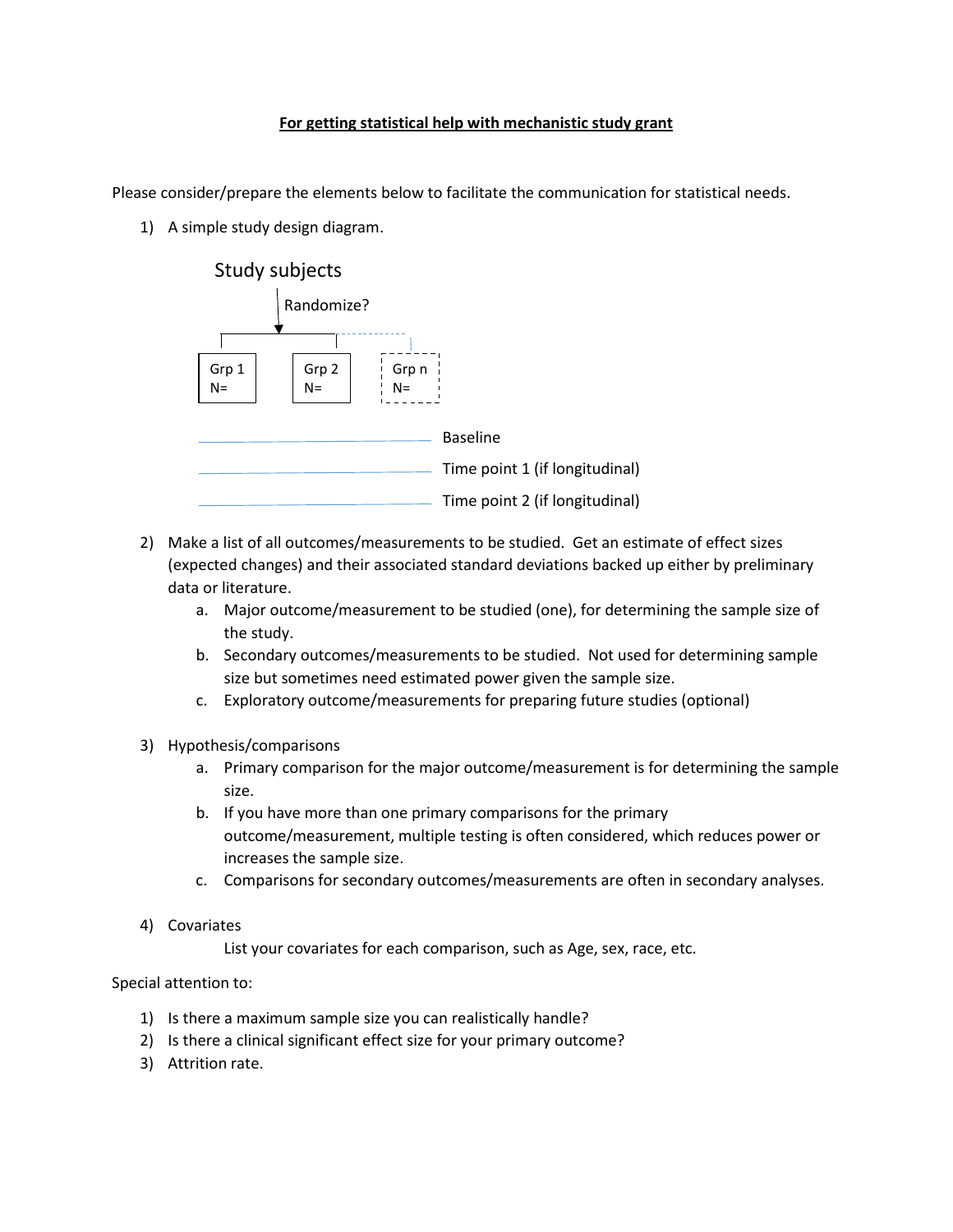## **For getting statistical help with mechanistic study grant**

Please consider/prepare the elements below to facilitate the communication for statistical needs.

1) A simple study design diagram.



- 2) Make a list of all outcomes/measurements to be studied. Get an estimate of effect sizes (expected changes) and their associated standard deviations backed up either by preliminary data or literature.
	- a. Major outcome/measurement to be studied (one), for determining the sample size of the study.
	- b. Secondary outcomes/measurements to be studied. Not used for determining sample size but sometimes need estimated power given the sample size.
	- c. Exploratory outcome/measurements for preparing future studies (optional)
- 3) Hypothesis/comparisons
	- a. Primary comparison for the major outcome/measurement is for determining the sample size.
	- b. If you have more than one primary comparisons for the primary outcome/measurement, multiple testing is often considered, which reduces power or increases the sample size.
	- c. Comparisons for secondary outcomes/measurements are often in secondary analyses.
- 4) Covariates

List your covariates for each comparison, such as Age, sex, race, etc.

Special attention to:

- 1) Is there a maximum sample size you can realistically handle?
- 2) Is there a clinical significant effect size for your primary outcome?
- 3) Attrition rate.